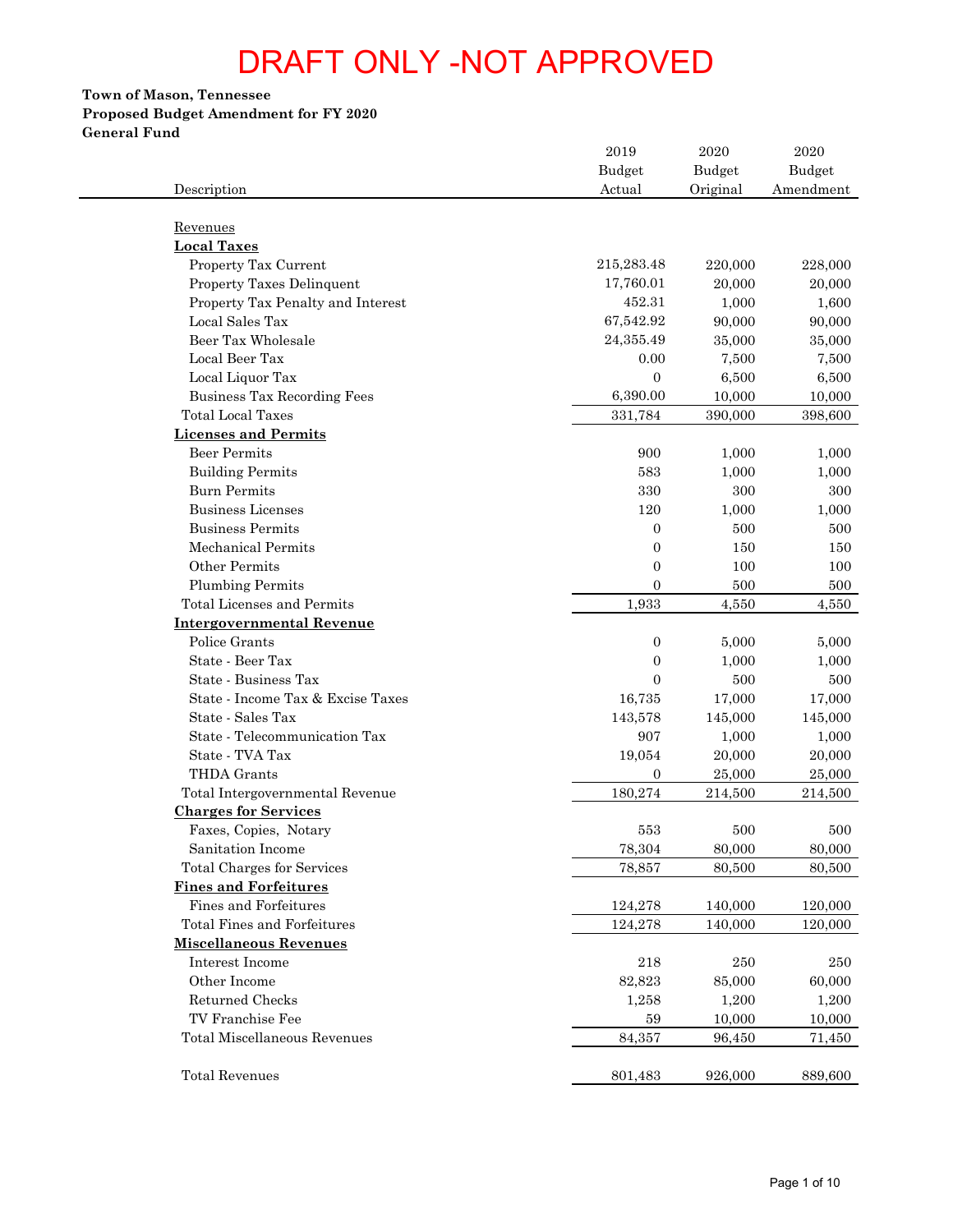# **Town of Mason, Tennessee Proposed Budget Amendment for FY 2020 General Fund**

| Description                         | 2019<br>Budget<br>Actual | 2020<br><b>Budget</b><br>Original | 2020<br><b>Budget</b><br>Amendment |
|-------------------------------------|--------------------------|-----------------------------------|------------------------------------|
| Revenues                            |                          |                                   |                                    |
| <b>Local Taxes</b>                  |                          |                                   |                                    |
| Property Tax Current                | 215,283.48               | 220,000                           | 228,000                            |
| Property Taxes Delinquent           | 17,760.01                | 20,000                            |                                    |
| Property Tax Penalty and Interest   | 452.31                   | 1,000                             |                                    |
| Local Sales Tax                     | 67,542.92                | 90,000                            |                                    |
| Beer Tax Wholesale                  | 24,355.49                | 35,000                            |                                    |
| Local Beer Tax                      | 0.00                     | 7,500                             |                                    |
| Local Liquor Tax                    | $\boldsymbol{0}$         | 6,500                             |                                    |
| Business Tax Recording Fees         | 6,390.00                 | 10,000                            |                                    |
| <b>Total Local Taxes</b>            | 331,784                  | 390,000                           | 398,600                            |
| <b>Licenses and Permits</b>         |                          |                                   |                                    |
| <b>Beer Permits</b>                 | 900                      | 1,000                             |                                    |
| <b>Building Permits</b>             | 583                      | 1,000                             |                                    |
| <b>Burn Permits</b>                 | 330                      | 300                               |                                    |
| <b>Business Licenses</b>            | 120                      | 1,000                             |                                    |
| <b>Business Permits</b>             | $\mathbf{0}$             | 500                               |                                    |
| <b>Mechanical Permits</b>           | $\mathbf{0}$             | 150                               |                                    |
| Other Permits                       | $\mathbf{0}$             | 100                               |                                    |
| <b>Plumbing Permits</b>             | $\mathbf{0}$             | 500                               |                                    |
| Total Licenses and Permits          | 1,933                    | 4,550                             |                                    |
| <b>Intergovernmental Revenue</b>    |                          |                                   |                                    |
| Police Grants                       | $\mathbf{0}$             | 5,000                             |                                    |
| State - Beer Tax                    | $\boldsymbol{0}$         | 1,000                             |                                    |
| State - Business Tax                | $\overline{0}$           | 500                               |                                    |
| State - Income Tax & Excise Taxes   | 16,735                   | 17,000                            |                                    |
| State - Sales Tax                   | 143,578                  | 145,000                           | 145,000                            |
| State - Telecommunication Tax       | 907                      | 1,000                             |                                    |
| State - TVA Tax                     | 19,054                   | 20,000                            |                                    |
| THDA Grants                         | $\overline{0}$           | 25,000                            |                                    |
| Total Intergovernmental Revenue     | 180,274                  | 214,500                           | 214,500                            |
| <b>Charges for Services</b>         |                          |                                   |                                    |
| Faxes, Copies, Notary               | 553                      | 500                               |                                    |
| Sanitation Income                   | 78,304                   | 80,000                            |                                    |
| <b>Total Charges for Services</b>   | 78,857                   | 80,500                            |                                    |
| <b>Fines and Forfeitures</b>        |                          |                                   |                                    |
| Fines and Forfeitures               | 124,278                  | 140,000                           | 120,000                            |
| <b>Total Fines and Forfeitures</b>  | 124,278                  | 140,000                           | 120,000                            |
| <b>Miscellaneous Revenues</b>       |                          |                                   |                                    |
| Interest Income                     | 218                      | 250                               |                                    |
| Other Income                        | 82,823                   | 85,000                            |                                    |
| Returned Checks                     | 1,258                    | 1,200                             |                                    |
| TV Franchise Fee                    | 59                       | 10,000                            |                                    |
| <b>Total Miscellaneous Revenues</b> | 84,357                   | 96,450                            |                                    |
| <b>Total Revenues</b>               | 801,483                  | 926,000                           | 889,600                            |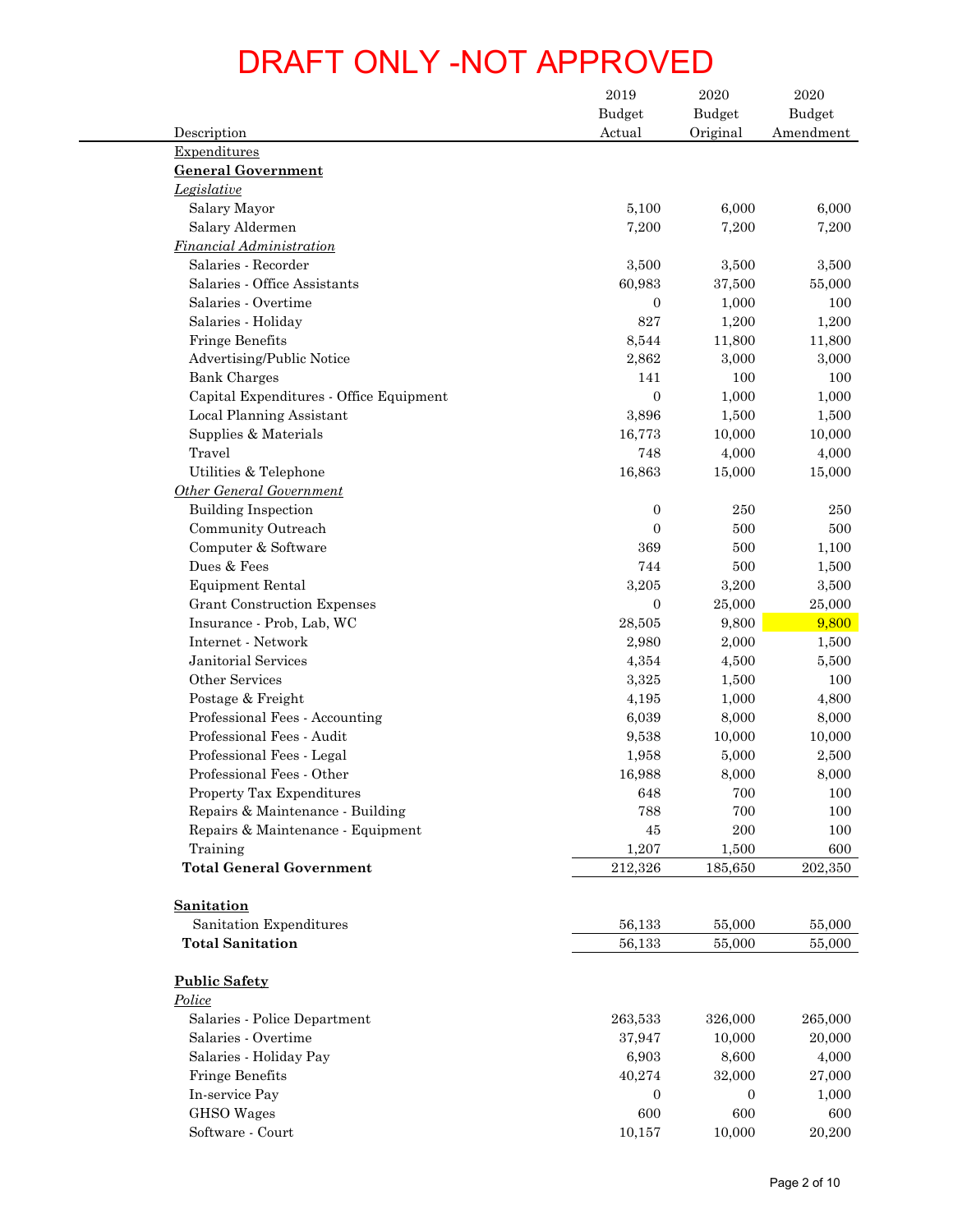|                                         | 2019             | 2020               | 2020                       |
|-----------------------------------------|------------------|--------------------|----------------------------|
| Description                             | Budget<br>Actual | Budget<br>Original | <b>Budget</b><br>Amendment |
| Expenditures                            |                  |                    |                            |
| <b>General Government</b>               |                  |                    |                            |
| Legislative                             |                  |                    |                            |
| Salary Mayor                            | 5,100            | 6,000              | 6,000                      |
| Salary Aldermen                         | 7,200            | 7,200              | 7,200                      |
| Financial Administration                |                  |                    |                            |
| Salaries - Recorder                     | 3,500            | 3,500              | 3,500                      |
| Salaries - Office Assistants            | 60,983           | 37,500             | 55,000                     |
| Salaries - Overtime                     | $\mathbf{0}$     | 1,000              | 100                        |
| Salaries - Holiday                      | 827              | 1,200              | 1,200                      |
| <b>Fringe Benefits</b>                  | 8,544            | 11,800             | 11,800                     |
| <b>Advertising/Public Notice</b>        | 2,862            | 3,000              | 3,000                      |
| <b>Bank Charges</b>                     | 141              | 100                | 100                        |
| Capital Expenditures - Office Equipment | $\boldsymbol{0}$ | 1,000              | 1,000                      |
| Local Planning Assistant                | 3,896            | 1,500              | 1,500                      |
| Supplies & Materials                    | 16,773           | 10,000             | 10,000                     |
| Travel                                  | 748              | 4,000              | 4,000                      |
| Utilities & Telephone                   | 16,863           | 15,000             | 15,000                     |
| <b>Other General Government</b>         |                  |                    |                            |
| <b>Building Inspection</b>              | $\mathbf{0}$     | 250                | 250                        |
| Community Outreach                      | $\mathbf{0}$     | 500                | 500                        |
| Computer & Software                     | 369              | 500                | 1,100                      |
| Dues & Fees                             | 744              | 500                | 1,500                      |
| <b>Equipment Rental</b>                 | 3,205            | 3,200              | 3,500                      |
| <b>Grant Construction Expenses</b>      | $\mathbf{0}$     | 25,000             | 25,000                     |
| Insurance - Prob, Lab, WC               | 28,505           | 9,800              | 9,800                      |
| Internet - Network                      | 2,980            | 2,000              | 1,500                      |
| <b>Janitorial Services</b>              | 4,354            | 4,500              | 5,500                      |
| Other Services                          | 3,325            | 1,500              | 100                        |
| Postage & Freight                       | 4,195            | 1,000              | 4,800                      |
| Professional Fees - Accounting          | 6,039            | 8,000              | 8,000                      |
| Professional Fees - Audit               | 9,538            | 10,000             | 10,000                     |
| Professional Fees - Legal               | 1,958            | 5,000              | 2,500                      |
| Professional Fees - Other               | 16,988           | 8,000              | 8,000                      |
| Property Tax Expenditures               | 648              | 700                | 100                        |
| Repairs & Maintenance - Building        | 788              | 700                | 100                        |
| Repairs & Maintenance - Equipment       | $45\,$           | 200                | 100                        |
| Training                                | 1,207            | 1,500              | 600                        |
| <b>Total General Government</b>         | 212,326          | 185,650            | 202,350                    |
| <b>Sanitation</b>                       |                  |                    |                            |
| Sanitation Expenditures                 | 56,133           | 55,000             | 55,000                     |
| <b>Total Sanitation</b>                 | 56,133           | 55,000             | 55,000                     |
| <b>Public Safety</b>                    |                  |                    |                            |
| Police                                  |                  |                    |                            |
| Salaries - Police Department            | 263,533          | 326,000            | 265,000                    |
| Salaries - Overtime                     | 37,947           | 10,000             | 20,000                     |
| Salaries - Holiday Pay                  | 6,903            | 8,600              | 4,000                      |
| <b>Fringe Benefits</b>                  | 40,274           | 32,000             | 27,000                     |
| In-service Pay                          | $\boldsymbol{0}$ | $\mathbf{0}$       | 1,000                      |
| <b>GHSO</b> Wages                       | 600              | 600                | 600                        |
| Software - Court                        | 10,157           | 10,000             | 20,200                     |
|                                         |                  |                    | Page 2 of 10               |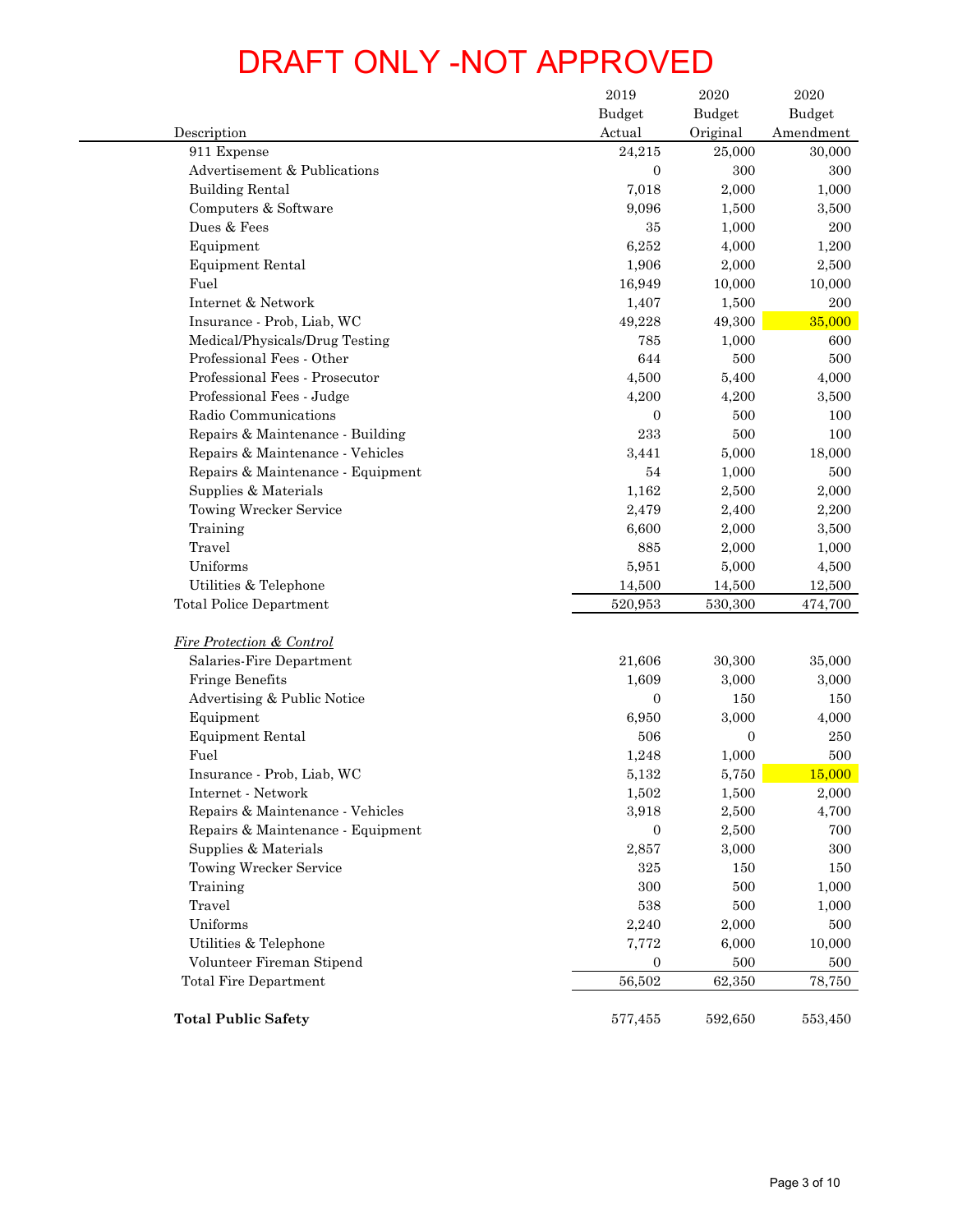| Description<br>911 Expense<br>Advertisement & Publications<br><b>Building Rental</b> | <b>Budget</b>     |                           | $\,2020\,$    |
|--------------------------------------------------------------------------------------|-------------------|---------------------------|---------------|
|                                                                                      |                   | <b>Budget</b><br>Original | <b>Budget</b> |
|                                                                                      | Actual<br>24,215  | 25,000                    | Amendment     |
|                                                                                      | $\boldsymbol{0}$  | 300                       |               |
|                                                                                      | 7,018             | 2,000                     |               |
| Computers & Software                                                                 | 9,096             | 1,500                     |               |
| Dues & Fees                                                                          | 35                | 1,000                     |               |
| Equipment                                                                            | 6,252             | 4,000                     |               |
| <b>Equipment Rental</b>                                                              | 1,906             | 2,000                     |               |
| Fuel                                                                                 | 16,949            | 10,000                    |               |
| Internet & Network                                                                   | 1,407             | 1,500                     |               |
| Insurance - Prob, Liab, WC                                                           | 49,228            | 49,300                    |               |
| Medical/Physicals/Drug Testing                                                       | 785               | 1,000                     |               |
| Professional Fees - Other                                                            | 644               | 500                       |               |
| Professional Fees - Prosecutor                                                       | 4,500             | 5,400                     |               |
| Professional Fees - Judge                                                            |                   |                           |               |
|                                                                                      | 4,200             | 4,200                     |               |
| Radio Communications                                                                 | $\overline{0}$    | 500                       |               |
| Repairs & Maintenance - Building                                                     | 233               | 500                       |               |
| Repairs & Maintenance - Vehicles                                                     | 3,441             | 5,000                     |               |
| Repairs & Maintenance - Equipment                                                    | 54                | 1,000                     |               |
| Supplies & Materials                                                                 | 1,162             | 2,500                     |               |
| Towing Wrecker Service                                                               | 2,479             | 2,400                     |               |
| Training                                                                             | 6,600             | 2,000                     |               |
| Travel                                                                               | 885               | 2,000                     |               |
|                                                                                      | 5,951             | 5,000                     |               |
| Uniforms                                                                             |                   | 14,500                    |               |
| Utilities & Telephone<br><b>Total Police Department</b>                              | 14,500<br>520,953 | 530,300                   |               |
|                                                                                      |                   |                           |               |
| <b>Fire Protection &amp; Control</b>                                                 |                   |                           |               |
| Salaries-Fire Department                                                             | 21,606            | 30,300                    |               |
| Fringe Benefits                                                                      | 1,609             | 3,000                     |               |
| Advertising & Public Notice                                                          | $\overline{0}$    | 150                       |               |
| Equipment                                                                            | 6,950             | 3,000                     |               |
| <b>Equipment Rental</b>                                                              | 506               | 0                         |               |
| Fuel                                                                                 | 1,248             | 1,000                     |               |
| Insurance - Prob, Liab, WC                                                           | 5,132             | 5,750                     |               |
| Internet - Network                                                                   | 1,502             | 1,500                     |               |
| Repairs & Maintenance - Vehicles                                                     | 3,918             | 2,500                     |               |
| Repairs & Maintenance - Equipment                                                    | $\boldsymbol{0}$  | 2,500                     |               |
| Supplies & Materials                                                                 | 2,857             | 3,000                     |               |
| Towing Wrecker Service                                                               | 325               | 150                       |               |
| Training                                                                             | 300               | 500                       |               |
| Travel                                                                               | 538               | 500                       |               |
| Uniforms                                                                             | 2,240             | 2,000                     |               |
| Utilities & Telephone                                                                | 7,772             | 6,000                     |               |
| Volunteer Fireman Stipend                                                            | $\boldsymbol{0}$  | 500                       |               |
| <b>Total Fire Department</b>                                                         | 56,502            | 62,350                    |               |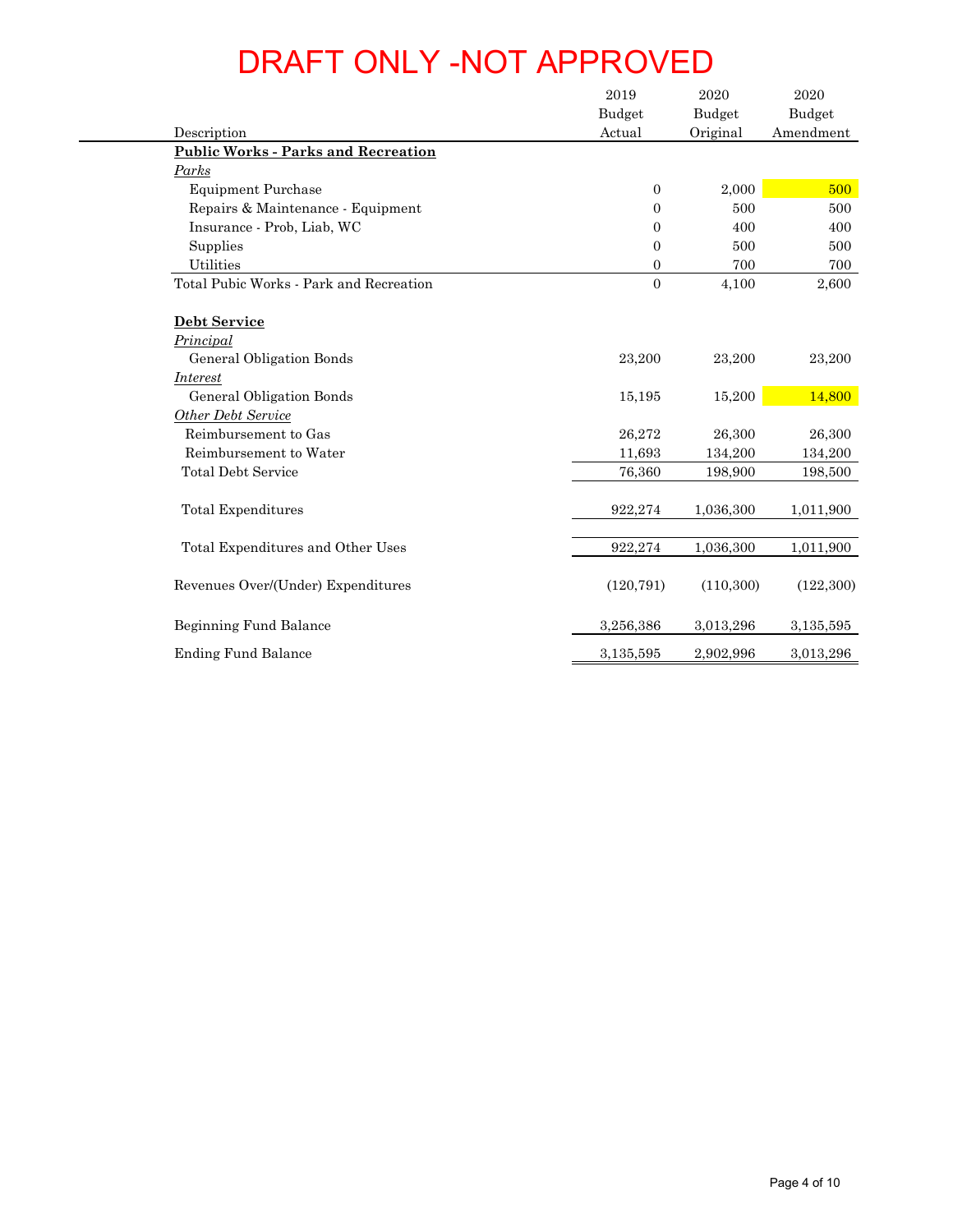| Description                                | 2019<br><b>Budget</b><br>Actual | $\boldsymbol{2020}$<br><b>Budget</b><br>Original | 2020<br><b>Budget</b><br>Amendment |
|--------------------------------------------|---------------------------------|--------------------------------------------------|------------------------------------|
| <b>Public Works - Parks and Recreation</b> |                                 |                                                  |                                    |
| Parks                                      |                                 |                                                  |                                    |
| <b>Equipment Purchase</b>                  | $\boldsymbol{0}$                | 2,000                                            | 500                                |
| Repairs & Maintenance - Equipment          | $\boldsymbol{0}$                | 500                                              | 500                                |
| Insurance - Prob, Liab, WC                 | $\boldsymbol{0}$                | 400                                              | 400                                |
| Supplies                                   | $\boldsymbol{0}$                | 500                                              | 500                                |
| Utilities                                  | $\boldsymbol{0}$                | 700                                              | 700                                |
| Total Pubic Works - Park and Recreation    | $\overline{0}$                  | 4,100                                            | 2,600                              |
| Debt Service                               |                                 |                                                  |                                    |
| Principal                                  |                                 |                                                  |                                    |
| General Obligation Bonds                   | 23,200                          | 23,200                                           | 23,200                             |
| <i><u><b>Interest</b></u></i>              |                                 |                                                  |                                    |
| General Obligation Bonds                   | 15,195                          | 15,200                                           | 14,800                             |
| <b>Other Debt Service</b>                  |                                 |                                                  |                                    |
| Reimbursement to Gas                       | 26,272                          | 26,300                                           | 26,300                             |
| Reimbursement to Water                     | 11,693                          | 134,200                                          | 134,200                            |
| <b>Total Debt Service</b>                  | 76,360                          | 198,900                                          | 198,500                            |
| Total Expenditures                         | 922,274                         | 1,036,300                                        | 1,011,900                          |
|                                            |                                 |                                                  |                                    |
| Total Expenditures and Other Uses          | 922,274                         | 1,036,300                                        | 1,011,900                          |
| Revenues Over/(Under) Expenditures         | (120, 791)                      | (110, 300)                                       | (122, 300)                         |
| Beginning Fund Balance                     | 3,256,386                       | 3,013,296                                        | 3,135,595                          |
| <b>Ending Fund Balance</b>                 | 3,135,595                       | 2,902,996                                        | 3,013,296                          |
|                                            |                                 |                                                  |                                    |
|                                            |                                 |                                                  |                                    |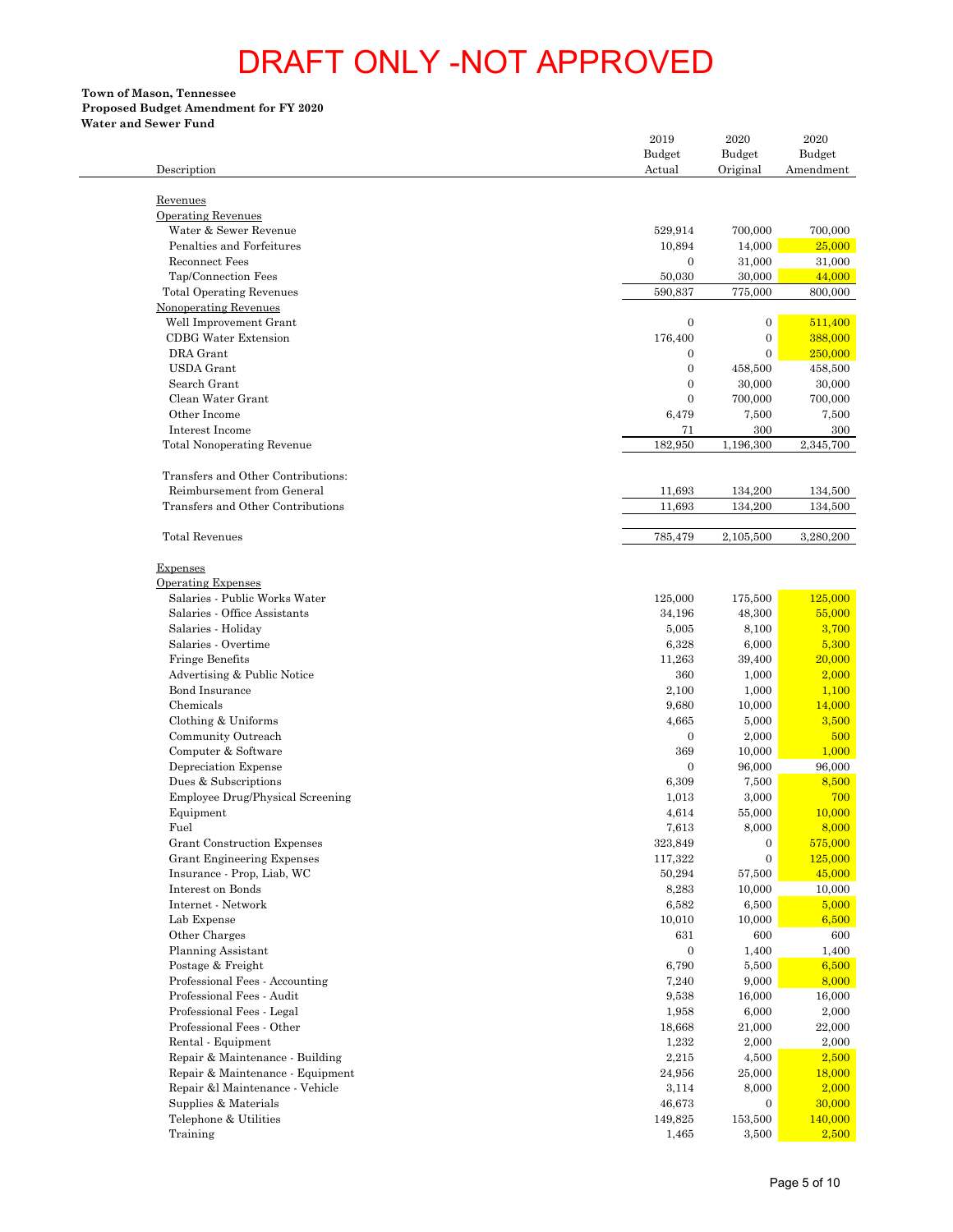## **Proposed Budget Amendment for FY 2020**

| <b>Water and Sewer Fund</b>                                |                         |                           |                     |
|------------------------------------------------------------|-------------------------|---------------------------|---------------------|
|                                                            | 2019                    | 2020                      |                     |
| Description                                                | <b>Budget</b><br>Actual | <b>Budget</b><br>Original | Budget<br>Amendment |
|                                                            |                         |                           |                     |
| Revenues                                                   |                         |                           |                     |
| <b>Operating Revenues</b>                                  |                         |                           |                     |
| Water & Sewer Revenue                                      | 529,914                 | 700,000                   |                     |
| Penalties and Forfeitures<br><b>Reconnect Fees</b>         | 10,894                  | 14,000                    |                     |
| Tap/Connection Fees                                        | $\mathbf{0}$<br>50,030  | 31,000<br>30,000          |                     |
| <b>Total Operating Revenues</b>                            | 590,837                 | 775,000                   |                     |
| Nonoperating Revenues                                      |                         |                           |                     |
| Well Improvement Grant                                     | $\mathbf{0}$            | $\mathbf{0}$              |                     |
| <b>CDBG</b> Water Extension                                | 176,400                 | $\mathbf{0}$              |                     |
| DRA Grant                                                  | $\theta$                | $\mathbf{0}$              |                     |
| <b>USDA</b> Grant                                          | $\mathbf{0}$            | 458,500                   |                     |
| Search Grant                                               | $\theta$                | 30,000                    |                     |
| Clean Water Grant<br>Other Income                          | $\theta$                | 700,000                   |                     |
| Interest Income                                            | 6,479<br>71             | 7,500<br>300              |                     |
| <b>Total Nonoperating Revenue</b>                          | 182,950                 | 1,196,300                 | 2,345,700           |
|                                                            |                         |                           |                     |
| Transfers and Other Contributions:                         |                         |                           |                     |
| Reimbursement from General                                 | 11,693                  | 134,200                   |                     |
| Transfers and Other Contributions                          | 11,693                  | 134,200                   |                     |
| <b>Total Revenues</b>                                      | 785,479                 | 2,105,500                 | 3,280,200           |
|                                                            |                         |                           |                     |
| <b>Expenses</b>                                            |                         |                           |                     |
| <b>Operating Expenses</b><br>Salaries - Public Works Water |                         |                           |                     |
| Salaries - Office Assistants                               | 125,000<br>34,196       | 175,500<br>48,300         |                     |
| Salaries - Holiday                                         | 5,005                   | 8,100                     |                     |
| Salaries - Overtime                                        | 6,328                   | 6,000                     |                     |
| Fringe Benefits                                            | 11,263                  | 39,400                    |                     |
| Advertising & Public Notice                                | 360                     | 1,000                     |                     |
| <b>Bond Insurance</b>                                      | 2,100                   | 1,000                     |                     |
| Chemicals                                                  | 9,680                   | 10,000                    |                     |
| Clothing & Uniforms                                        | 4,665                   | 5,000                     |                     |
| Community Outreach                                         | $\mathbf{0}$            | 2,000                     |                     |
| Computer & Software                                        | 369                     | 10,000                    |                     |
| Depreciation Expense<br>Dues & Subscriptions               | $\mathbf{0}$<br>6,309   | 96,000<br>7,500           |                     |
| Employee Drug/Physical Screening                           | 1,013                   | 3,000                     |                     |
| Equipment                                                  | 4,614                   | 55,000                    |                     |
| Fuel                                                       | 7,613                   | 8,000                     |                     |
| Grant Construction Expenses                                | 323,849                 | $\boldsymbol{0}$          |                     |
| Grant Engineering Expenses                                 | 117,322                 | $\mathbf{0}$              |                     |
| Insurance - Prop, Liab, WC                                 | 50,294                  | 57,500                    |                     |
| Interest on Bonds                                          | 8,283                   | 10,000                    |                     |
| Internet - Network                                         | 6,582                   | 6,500                     |                     |
| Lab Expense                                                | 10,010                  | 10,000                    |                     |
| Other Charges<br>Planning Assistant                        | 631<br>$\mathbf{0}$     | 600<br>1,400              |                     |
| Postage & Freight                                          | 6,790                   | 5,500                     |                     |
| Professional Fees - Accounting                             | 7,240                   | 9,000                     |                     |
| Professional Fees - Audit                                  | 9,538                   | 16,000                    |                     |
| Professional Fees - Legal                                  | 1,958                   | 6,000                     |                     |
| Professional Fees - Other                                  | 18,668                  | 21,000                    |                     |
| Rental - Equipment                                         | 1,232                   | 2,000                     |                     |
| Repair & Maintenance - Building                            | 2,215                   | 4,500                     |                     |
| Repair & Maintenance - Equipment                           | 24,956                  | 25,000                    |                     |
| Repair &l Maintenance - Vehicle                            | 3,114                   | 8,000                     |                     |
| Supplies & Materials                                       | 46,673                  | $\mathbf{0}$              |                     |
| Telephone & Utilities<br>Training                          | 149,825<br>1,465        | 153,500<br>3,500          |                     |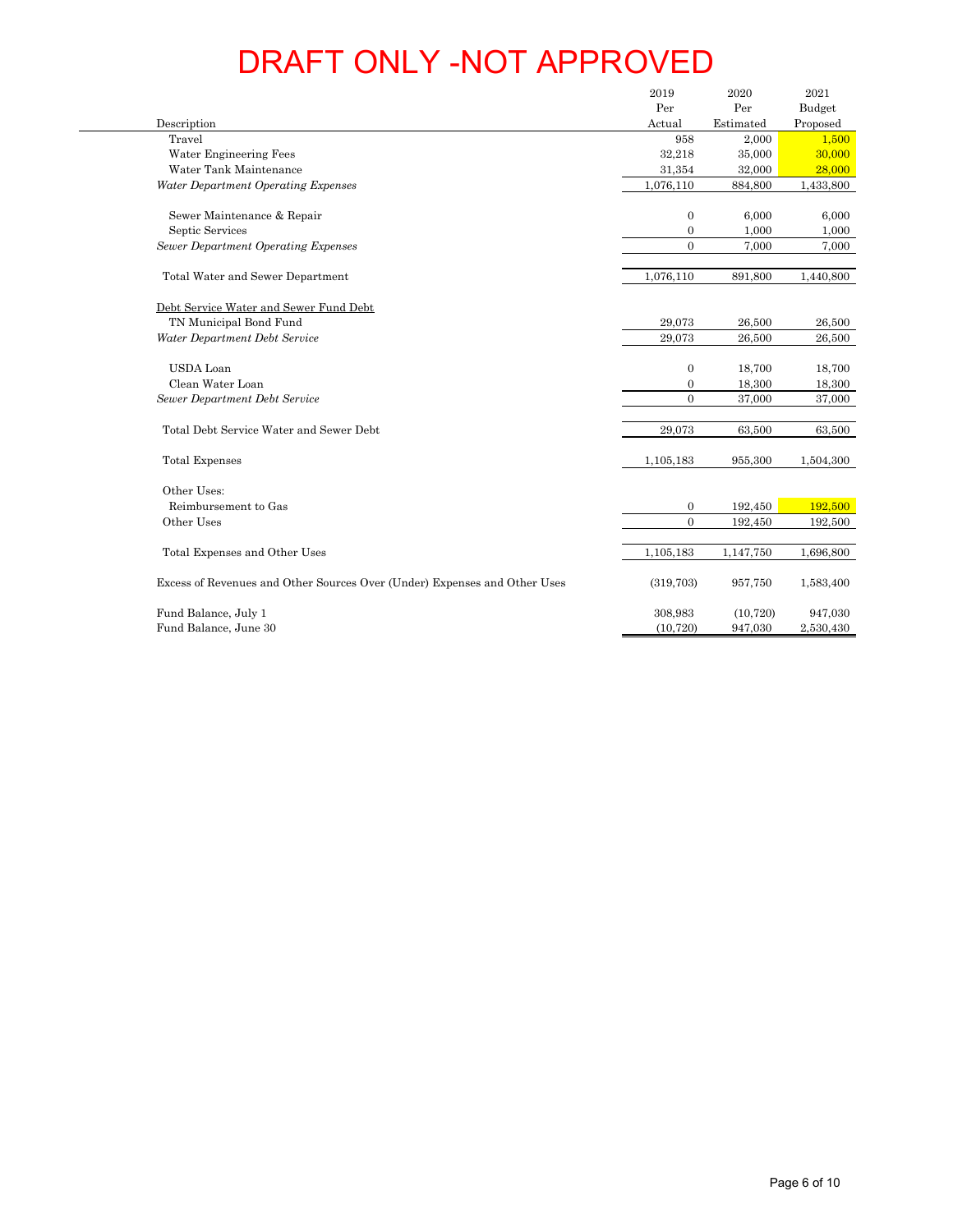|                                                                           | 2019                             | 2020             | 2021               |
|---------------------------------------------------------------------------|----------------------------------|------------------|--------------------|
| Description                                                               | Per<br>Actual                    | Per<br>Estimated | Budget<br>Proposed |
| Travel                                                                    | 958                              | 2,000            | 1,500              |
| Water Engineering Fees                                                    | 32,218                           | 35,000           | 30,000             |
| Water Tank Maintenance                                                    | 31,354                           | 32,000           | 28,000             |
| Water Department Operating Expenses                                       | 1,076,110                        | 884,800          | 1,433,800          |
| Sewer Maintenance & Repair                                                | $\boldsymbol{0}$                 | 6,000            | 6,000              |
| Septic Services<br><b>Sewer Department Operating Expenses</b>             | $\boldsymbol{0}$<br>$\mathbf{0}$ | 1,000<br>7,000   | 1,000<br>7,000     |
|                                                                           |                                  |                  |                    |
| Total Water and Sewer Department                                          | 1,076,110                        | 891,800          | 1,440,800          |
| Debt Service Water and Sewer Fund Debt                                    |                                  |                  |                    |
| TN Municipal Bond Fund                                                    | 29,073                           | 26,500           | 26,500             |
| Water Department Debt Service                                             | 29,073                           | 26,500           | 26,500             |
| <b>USDA</b> Loan                                                          | $\boldsymbol{0}$                 | 18,700           | 18,700             |
| Clean Water Loan                                                          | $\boldsymbol{0}$                 | 18,300           | 18,300             |
| Sewer Department Debt Service                                             | $\mathbf{0}$                     | 37,000           | 37,000             |
| Total Debt Service Water and Sewer Debt                                   | 29,073                           | 63,500           | 63,500             |
|                                                                           |                                  |                  |                    |
| Total Expenses                                                            | 1,105,183                        | 955,300          | 1,504,300          |
| Other Uses:                                                               |                                  |                  |                    |
| Reimbursement to Gas                                                      | $\boldsymbol{0}$                 | 192,450          | 192,500            |
| Other Uses                                                                | $\mathbf{0}$                     | 192,450          | 192,500            |
| Total Expenses and Other Uses                                             | 1,105,183                        | 1,147,750        | 1,696,800          |
| Excess of Revenues and Other Sources Over (Under) Expenses and Other Uses | (319,703)                        | 957,750          | 1,583,400          |
| Fund Balance, July 1                                                      | 308,983                          | (10, 720)        | 947,030            |
| Fund Balance, June 30                                                     | (10, 720)                        | 947,030          | 2,530,430          |
|                                                                           |                                  |                  |                    |
|                                                                           |                                  |                  | Page 6 of 10       |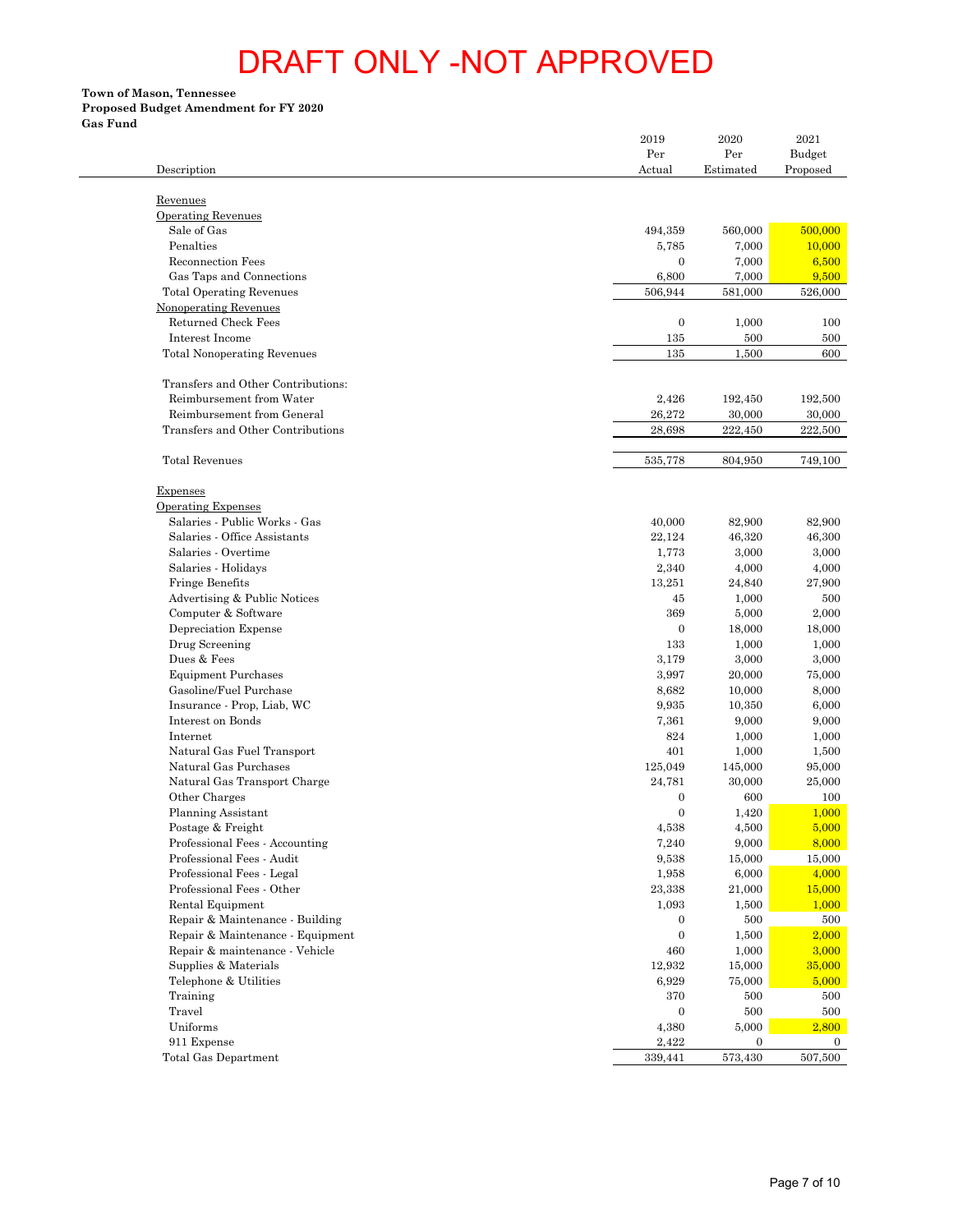**Town of Mason, Tennessee**

# **Proposed Budget Amendment for FY 2020**

**Gas Fund**

 $\sim$ 

| Description                                                    | 2019<br>Per<br>Actual | 2020<br>Per<br>Estimated | 2021<br>Budget<br>Proposed |
|----------------------------------------------------------------|-----------------------|--------------------------|----------------------------|
|                                                                |                       |                          |                            |
| Revenues                                                       |                       |                          |                            |
| <b>Operating Revenues</b><br>Sale of Gas                       | 494,359               | 560,000                  | 500,000                    |
| Penalties                                                      | 5,785                 | 7,000                    | 10,000                     |
| Reconnection Fees                                              | $\mathbf{0}$          | 7,000                    |                            |
| Gas Taps and Connections                                       | 6,800                 | 7,000                    |                            |
| <b>Total Operating Revenues</b>                                | 506,944               | 581,000                  | 526,000                    |
| Nonoperating Revenues                                          |                       |                          |                            |
| Returned Check Fees                                            | $\mathbf{0}$          | 1,000                    |                            |
| Interest Income<br><b>Total Nonoperating Revenues</b>          | 135<br>135            | 500<br>1,500             |                            |
|                                                                |                       |                          |                            |
| Transfers and Other Contributions:<br>Reimbursement from Water | 2,426                 | 192,450                  | 192,500                    |
| Reimbursement from General                                     | 26,272                | 30,000                   | 30,000                     |
| Transfers and Other Contributions                              | 28,698                | 222,450                  | 222,500                    |
| <b>Total Revenues</b>                                          | 535,778               | 804,950                  | 749,100                    |
|                                                                |                       |                          |                            |
| Expenses<br><b>Operating Expenses</b>                          |                       |                          |                            |
| Salaries - Public Works - Gas                                  | 40,000                | 82,900                   | 82,900                     |
| Salaries - Office Assistants                                   | 22,124                | 46,320                   | 46,300                     |
| Salaries - Overtime                                            | 1,773                 | 3,000                    |                            |
| Salaries - Holidays                                            | 2,340                 | 4,000                    |                            |
| Fringe Benefits                                                | 13,251                | 24,840                   | 27,900                     |
| Advertising & Public Notices<br>Computer & Software            | 45<br>369             | 1,000<br>5,000           |                            |
| Depreciation Expense                                           | $\mathbf{0}$          | 18,000                   | 18,000                     |
| Drug Screening                                                 | 133                   | 1,000                    |                            |
| Dues & Fees                                                    | 3,179                 | 3,000                    |                            |
| <b>Equipment Purchases</b>                                     | 3,997                 | 20,000                   | 75,000                     |
| Gasoline/Fuel Purchase                                         | 8,682                 | 10,000                   |                            |
| Insurance - Prop, Liab, WC                                     | 9,935                 | 10,350                   |                            |
| Interest on Bonds<br>Internet                                  | 7,361<br>824          | 9,000<br>1,000           |                            |
| Natural Gas Fuel Transport                                     | 401                   | 1,000                    |                            |
| Natural Gas Purchases                                          | 125,049               | 145,000                  | 95,000                     |
| Natural Gas Transport Charge                                   | 24,781                | 30,000                   | 25,000                     |
| Other Charges                                                  | $\boldsymbol{0}$      | 600                      |                            |
| Planning Assistant                                             | $\mathbf{0}$          | 1,420                    |                            |
| Postage & Freight                                              | $4,\!538$             | 4,500                    |                            |
| Professional Fees - Accounting                                 | 7,240                 | 9,000                    |                            |
| Professional Fees - Audit<br>Professional Fees - Legal         | 9,538<br>1,958        | 15,000<br>6,000          | 15,000                     |
| Professional Fees - Other                                      | 23,338                | 21,000                   | 15,000                     |
| Rental Equipment                                               | 1,093                 | 1,500                    |                            |
| Repair & Maintenance - Building                                | $\mathbf{0}$          | 500                      |                            |
| Repair & Maintenance - Equipment                               | $\boldsymbol{0}$      | 1,500                    |                            |
| Repair & maintenance - Vehicle                                 | 460                   | 1,000                    |                            |
| Supplies & Materials                                           | 12,932                | 15,000                   | 35,000                     |
| Telephone & Utilities<br>Training                              | 6,929<br>370          | 75,000                   |                            |
| Travel                                                         | $\mathbf{0}$          | 500<br>500               |                            |
| Uniforms                                                       | 4,380                 | 5,000                    |                            |
| 911 Expense                                                    | 2,422                 | $\mathbf{0}$             |                            |
| Total Gas Department                                           | 339,441               | 573,430                  | 507,500                    |
|                                                                |                       |                          |                            |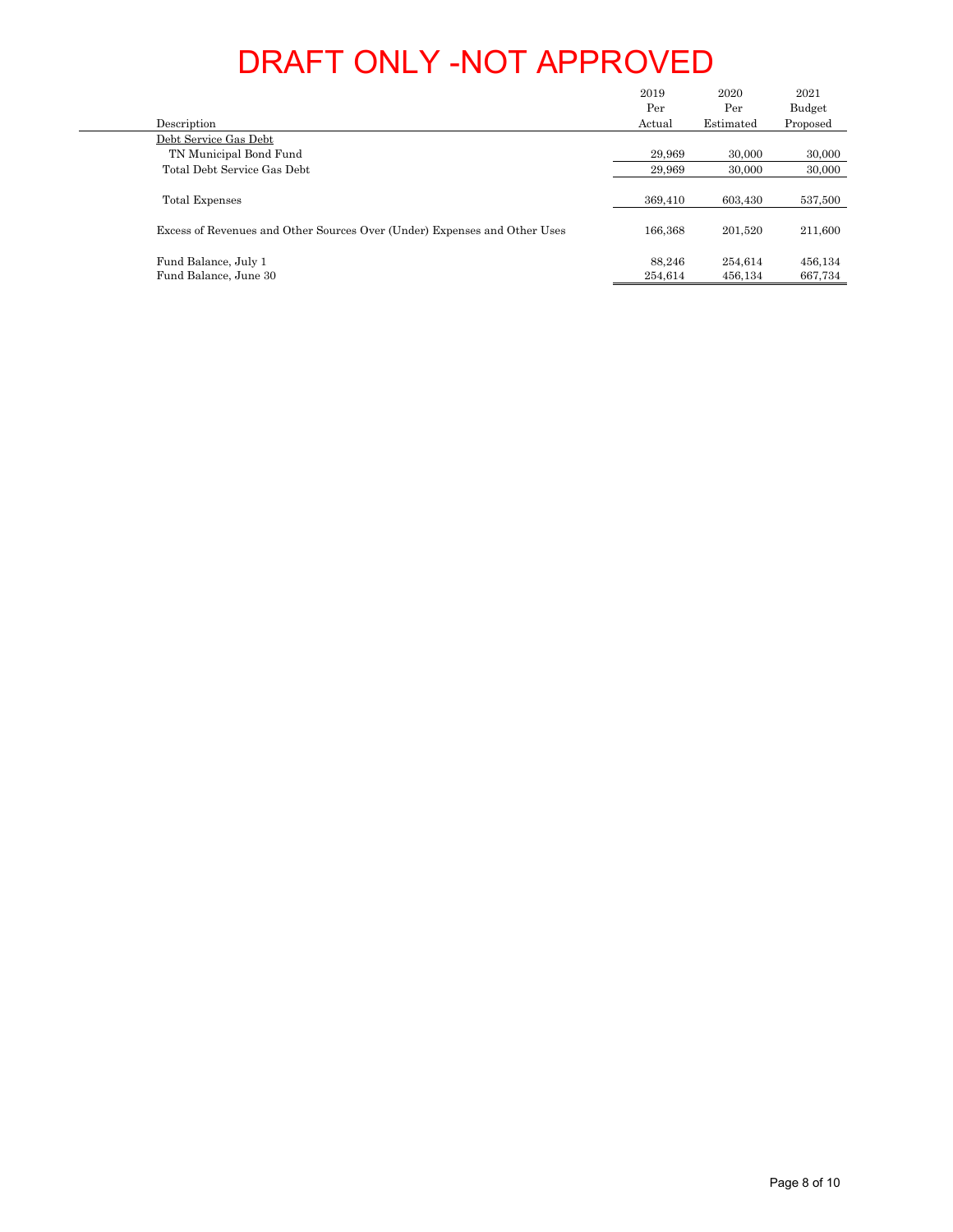| TN Municipal Bond Fund<br>$29,\!969$<br>$30,\!000$<br>Total Debt Service Gas Debt<br>29,969<br>30,000<br>603,430<br>369,410<br>166,368<br>$201,\!520$<br>$88,\!246$<br>254,614<br>$\operatorname{Fund}$ Balance, June $30$<br>254,614<br>456,134<br>667,734 | Description                                                               | $2019\,$<br>$\operatorname*{Per}% \left( X\right) \equiv\operatorname*{Per}% \left( X\right) ,$<br>Actual | $2020\,$<br>$\operatorname*{Per}% \nolimits_{\mathbb{Z}}\left( \mathbb{Z}^{\Sigma\left( 1\right) }% ,\mathbb{Z}^{\Sigma\left( 2\right) }\right)$<br>Estimated | $2021\,$<br>${\bf Budget}$<br>Proposed |
|-------------------------------------------------------------------------------------------------------------------------------------------------------------------------------------------------------------------------------------------------------------|---------------------------------------------------------------------------|-----------------------------------------------------------------------------------------------------------|---------------------------------------------------------------------------------------------------------------------------------------------------------------|----------------------------------------|
|                                                                                                                                                                                                                                                             | Debt Service Gas Debt                                                     |                                                                                                           |                                                                                                                                                               |                                        |
|                                                                                                                                                                                                                                                             |                                                                           |                                                                                                           |                                                                                                                                                               | $30,\!000$                             |
|                                                                                                                                                                                                                                                             |                                                                           |                                                                                                           |                                                                                                                                                               | 30,000                                 |
|                                                                                                                                                                                                                                                             | Total Expenses                                                            |                                                                                                           |                                                                                                                                                               | 537,500                                |
|                                                                                                                                                                                                                                                             | Excess of Revenues and Other Sources Over (Under) Expenses and Other Uses |                                                                                                           |                                                                                                                                                               | 211,600                                |
|                                                                                                                                                                                                                                                             | Fund Balance, July 1                                                      |                                                                                                           |                                                                                                                                                               | 456,134                                |
|                                                                                                                                                                                                                                                             |                                                                           |                                                                                                           |                                                                                                                                                               |                                        |
|                                                                                                                                                                                                                                                             |                                                                           |                                                                                                           |                                                                                                                                                               |                                        |
|                                                                                                                                                                                                                                                             |                                                                           |                                                                                                           |                                                                                                                                                               |                                        |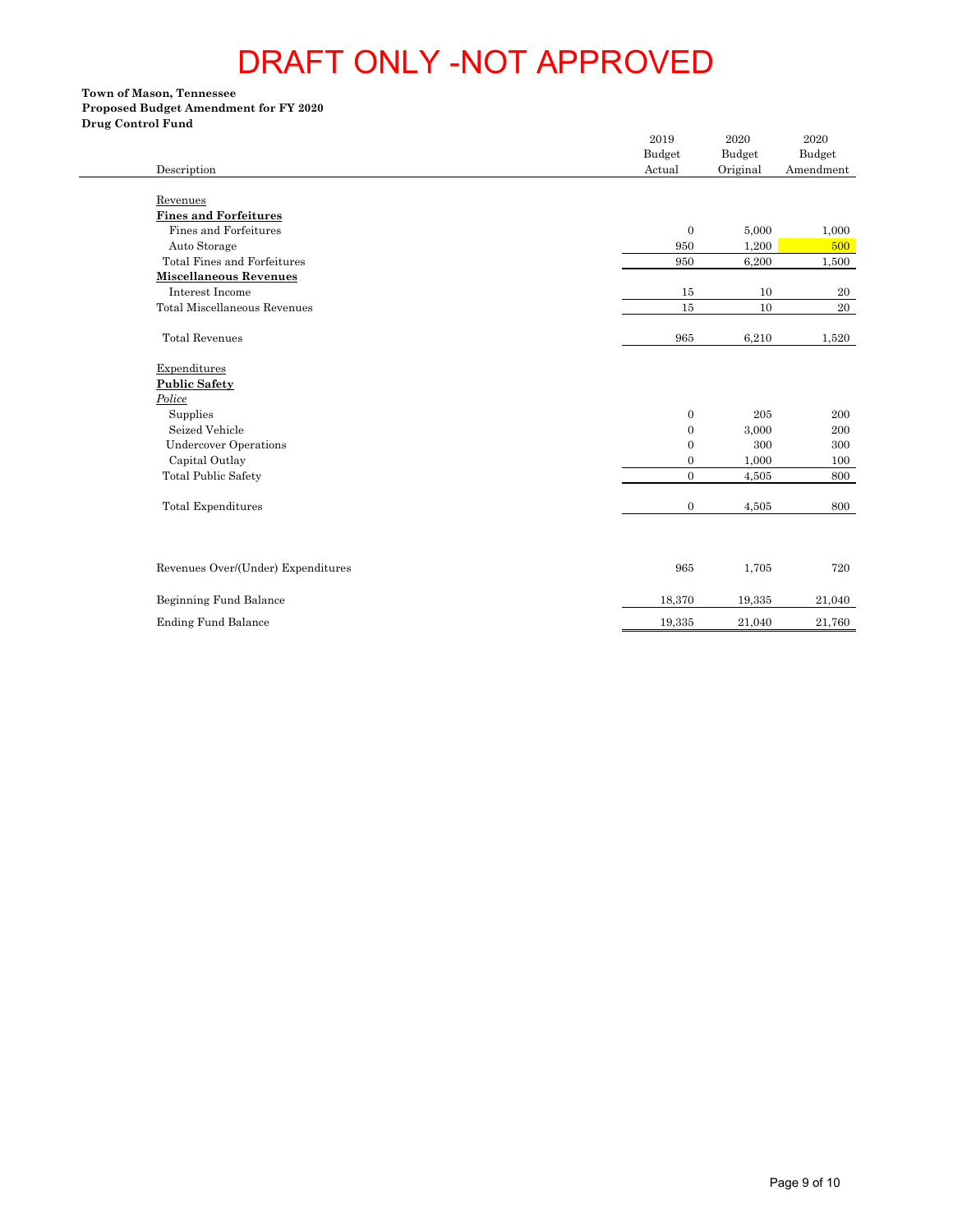### **Town of Mason, Tennessee Proposed Budget Amendment for FY 2020 Drug Control Fund**

| Description                                    | $\,2019$<br>Budget<br>Actual         | 2020<br>Budget<br>Original | 2020<br>Budget<br>Amendment |
|------------------------------------------------|--------------------------------------|----------------------------|-----------------------------|
| Revenues                                       |                                      |                            |                             |
| <b>Fines and Forfeitures</b>                   |                                      |                            |                             |
| Fines and Forfeitures                          | $\boldsymbol{0}$                     | 5,000                      | 1,000                       |
| Auto Storage                                   | 950                                  | 1,200                      | 500                         |
| Total Fines and Forfeitures                    | 950                                  | 6,200                      | 1,500                       |
| <b>Miscellaneous Revenues</b>                  |                                      |                            |                             |
| Interest Income                                | 15                                   | 10                         | 20                          |
| Total Miscellaneous Revenues                   | $15\,$                               | $10\,$                     | 20                          |
| <b>Total Revenues</b>                          | 965                                  | 6,210                      | 1,520                       |
| Expenditures                                   |                                      |                            |                             |
| <b>Public Safety</b>                           |                                      |                            |                             |
| Police                                         |                                      |                            |                             |
| Supplies                                       | $\boldsymbol{0}$                     | 205                        | 200                         |
| Seized Vehicle<br><b>Undercover Operations</b> | $\boldsymbol{0}$<br>$\boldsymbol{0}$ | 3,000<br>$300\,$           | 200<br>300                  |
| Capital Outlay                                 | $\boldsymbol{0}$                     | 1,000                      | 100                         |
| <b>Total Public Safety</b>                     | $\boldsymbol{0}$                     | 4,505                      | 800                         |
|                                                |                                      |                            |                             |
| Total Expenditures                             | $\boldsymbol{0}$                     | 4,505                      | 800                         |
| Revenues Over/(Under) Expenditures             | 965                                  | 1,705                      | 720                         |
| Beginning Fund Balance                         | 18,370                               | 19,335                     | 21,040                      |
| <b>Ending Fund Balance</b>                     | 19,335                               | 21,040                     | 21,760                      |
|                                                |                                      |                            |                             |
|                                                |                                      |                            |                             |